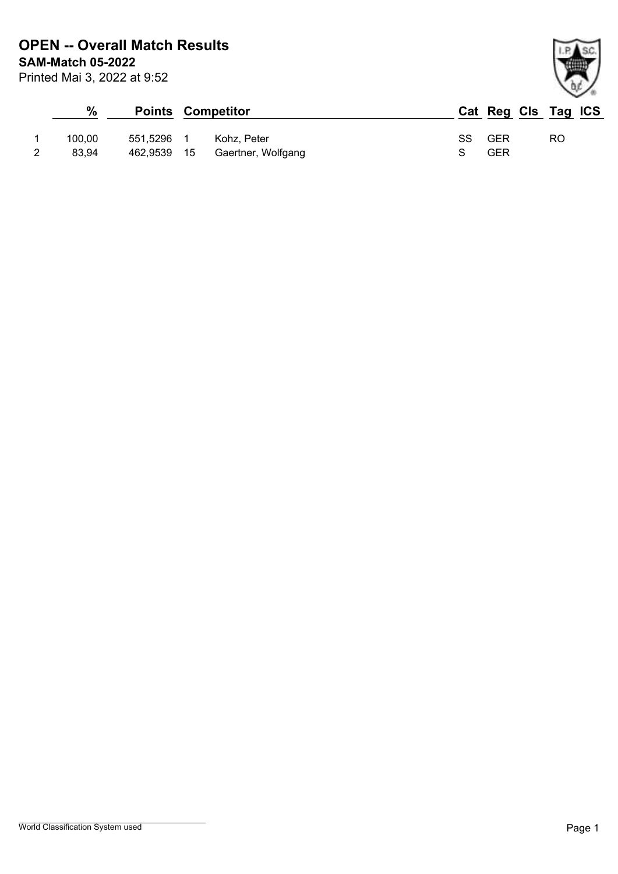| %      |            | <b>Points Competitor</b>       |    | Cat Reg Cls Tag ICS |     |  |
|--------|------------|--------------------------------|----|---------------------|-----|--|
| 100.00 | 551.5296 1 | Kohz. Peter                    | SS | GER                 | RO. |  |
| 83.94  |            | 462,9539 15 Gaertner, Wolfgang |    | GER                 |     |  |

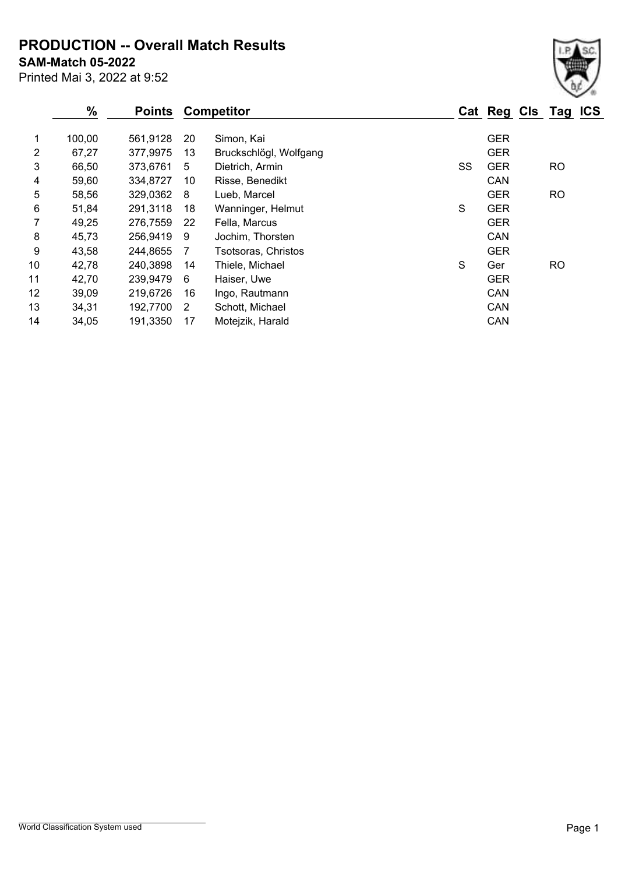**PRODUCTION -- Overall Match Results**

**SAM-Match 05-2022**

Printed Mai 3, 2022 at 9:52

|    | %      | <b>Points</b> |    | <b>Competitor</b>      |    | Cat Reg Cls Tag ICS |           |  |
|----|--------|---------------|----|------------------------|----|---------------------|-----------|--|
| 1  | 100,00 | 561,9128      | 20 | Simon, Kai             |    | <b>GER</b>          |           |  |
| 2  | 67,27  | 377,9975      | 13 | Bruckschlögl, Wolfgang |    | <b>GER</b>          |           |  |
| 3  | 66,50  | 373,6761      | 5  | Dietrich, Armin        | SS | <b>GER</b>          | <b>RO</b> |  |
| 4  | 59,60  | 334,8727      | 10 | Risse, Benedikt        |    | CAN                 |           |  |
| 5  | 58,56  | 329,0362      | 8  | Lueb, Marcel           |    | <b>GER</b>          | <b>RO</b> |  |
| 6  | 51,84  | 291,3118      | 18 | Wanninger, Helmut      | S  | <b>GER</b>          |           |  |
| 7  | 49,25  | 276,7559      | 22 | Fella, Marcus          |    | <b>GER</b>          |           |  |
| 8  | 45,73  | 256,9419      | 9  | Jochim, Thorsten       |    | CAN                 |           |  |
| 9  | 43,58  | 244,8655      | 7  | Tsotsoras, Christos    |    | <b>GER</b>          |           |  |
| 10 | 42,78  | 240,3898      | 14 | Thiele, Michael        | S  | Ger                 | <b>RO</b> |  |
| 11 | 42,70  | 239,9479      | 6  | Haiser, Uwe            |    | <b>GER</b>          |           |  |
| 12 | 39,09  | 219,6726      | 16 | Ingo, Rautmann         |    | CAN                 |           |  |
| 13 | 34,31  | 192,7700      | 2  | Schott, Michael        |    | CAN                 |           |  |
| 14 | 34,05  | 191,3350      | 17 | Motejzik, Harald       |    | CAN                 |           |  |
|    |        |               |    |                        |    |                     |           |  |

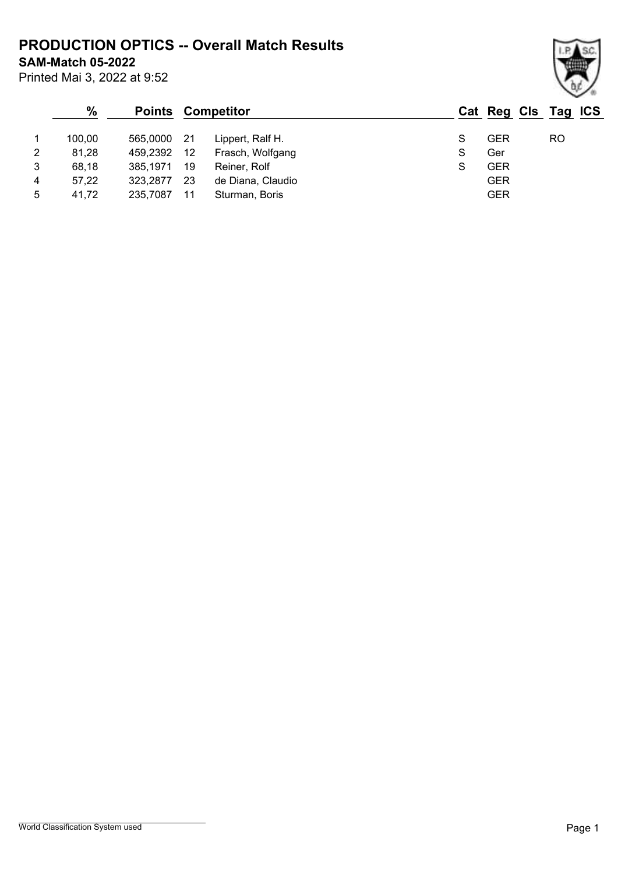**PRODUCTION OPTICS -- Overall Match Results**

**SAM-Match 05-2022**

Printed Mai 3, 2022 at 9:52

## **% Points Competitor Cat Reg Cls Tag ICS** 1 100,00 565,0000 21 Lippert, Ralf H. S GER RO 2 81,28 459,2392 12 Frasch, Wolfgang S Ger 3 68,18 385,1971 19 Reiner, Rolf S GER 4 57,22 323,2877 23 de Diana, Claudio GER 5 41,72 235,7087 11 Sturman, Boris GER

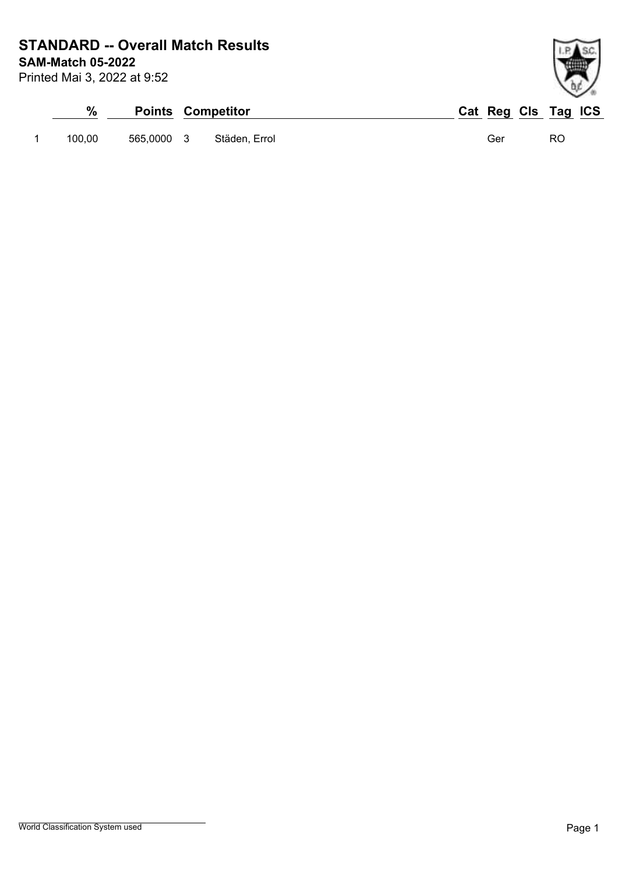**SAM-Match 05-2022 STANDARD -- Overall Match Results**

Printed Mai 3, 2022 at 9:52

| %      |            | <b>Points Competitor</b> |     | Cat Reg Cls Tag ICS |
|--------|------------|--------------------------|-----|---------------------|
| 100.00 | 565,0000 3 | Städen, Errol            | Ger | RO                  |